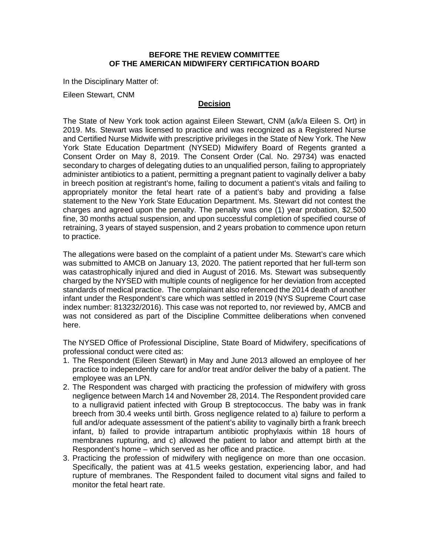## **BEFORE THE REVIEW COMMITTEE OF THE AMERICAN MIDWIFERY CERTIFICATION BOARD**

In the Disciplinary Matter of:

Eileen Stewart, CNM

## **Decision**

The State of New York took action against Eileen Stewart, CNM (a/k/a Eileen S. Ort) in 2019. Ms. Stewart was licensed to practice and was recognized as a Registered Nurse and Certified Nurse Midwife with prescriptive privileges in the State of New York. The New York State Education Department (NYSED) Midwifery Board of Regents granted a Consent Order on May 8, 2019. The Consent Order (Cal. No. 29734) was enacted secondary to charges of delegating duties to an unqualified person, failing to appropriately administer antibiotics to a patient, permitting a pregnant patient to vaginally deliver a baby in breech position at registrant's home, failing to document a patient's vitals and failing to appropriately monitor the fetal heart rate of a patient's baby and providing a false statement to the New York State Education Department. Ms. Stewart did not contest the charges and agreed upon the penalty. The penalty was one (1) year probation, \$2,500 fine, 30 months actual suspension, and upon successful completion of specified course of retraining, 3 years of stayed suspension, and 2 years probation to commence upon return to practice.

The allegations were based on the complaint of a patient under Ms. Stewart's care which was submitted to AMCB on January 13, 2020. The patient reported that her full-term son was catastrophically injured and died in August of 2016. Ms. Stewart was subsequently charged by the NYSED with multiple counts of negligence for her deviation from accepted standards of medical practice. The complainant also referenced the 2014 death of another infant under the Respondent's care which was settled in 2019 (NYS Supreme Court case index number: 813232/2016). This case was not reported to, nor reviewed by, AMCB and was not considered as part of the Discipline Committee deliberations when convened here.

The NYSED Office of Professional Discipline, State Board of Midwifery, specifications of professional conduct were cited as:

- 1. The Respondent (Eileen Stewart) in May and June 2013 allowed an employee of her practice to independently care for and/or treat and/or deliver the baby of a patient. The employee was an LPN.
- 2. The Respondent was charged with practicing the profession of midwifery with gross negligence between March 14 and November 28, 2014. The Respondent provided care to a nulligravid patient infected with Group B streptococcus. The baby was in frank breech from 30.4 weeks until birth. Gross negligence related to a) failure to perform a full and/or adequate assessment of the patient's ability to vaginally birth a frank breech infant, b) failed to provide intrapartum antibiotic prophylaxis within 18 hours of membranes rupturing, and c) allowed the patient to labor and attempt birth at the Respondent's home – which served as her office and practice.
- 3. Practicing the profession of midwifery with negligence on more than one occasion. Specifically, the patient was at 41.5 weeks gestation, experiencing labor, and had rupture of membranes. The Respondent failed to document vital signs and failed to monitor the fetal heart rate.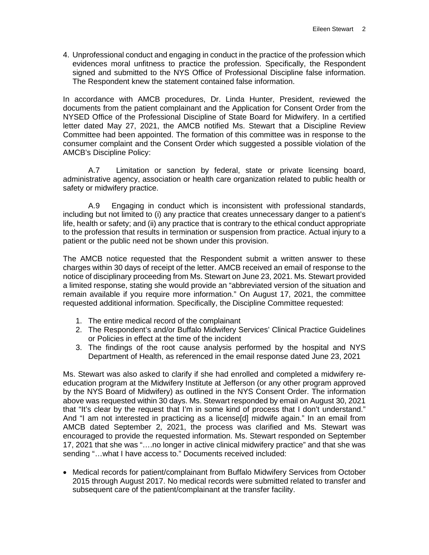4. Unprofessional conduct and engaging in conduct in the practice of the profession which evidences moral unfitness to practice the profession. Specifically, the Respondent signed and submitted to the NYS Office of Professional Discipline false information. The Respondent knew the statement contained false information.

In accordance with AMCB procedures, Dr. Linda Hunter, President, reviewed the documents from the patient complainant and the Application for Consent Order from the NYSED Office of the Professional Discipline of State Board for Midwifery. In a certified letter dated May 27, 2021, the AMCB notified Ms. Stewart that a Discipline Review Committee had been appointed. The formation of this committee was in response to the consumer complaint and the Consent Order which suggested a possible violation of the AMCB's Discipline Policy:

A.7 Limitation or sanction by federal, state or private licensing board, administrative agency, association or health care organization related to public health or safety or midwifery practice.

A.9 Engaging in conduct which is inconsistent with professional standards, including but not limited to (i) any practice that creates unnecessary danger to a patient's life, health or safety; and (ii) any practice that is contrary to the ethical conduct appropriate to the profession that results in termination or suspension from practice. Actual injury to a patient or the public need not be shown under this provision.

The AMCB notice requested that the Respondent submit a written answer to these charges within 30 days of receipt of the letter. AMCB received an email of response to the notice of disciplinary proceeding from Ms. Stewart on June 23, 2021. Ms. Stewart provided a limited response, stating she would provide an "abbreviated version of the situation and remain available if you require more information." On August 17, 2021, the committee requested additional information. Specifically, the Discipline Committee requested:

- 1. The entire medical record of the complainant
- 2. The Respondent's and/or Buffalo Midwifery Services' Clinical Practice Guidelines or Policies in effect at the time of the incident
- 3. The findings of the root cause analysis performed by the hospital and NYS Department of Health, as referenced in the email response dated June 23, 2021

Ms. Stewart was also asked to clarify if she had enrolled and completed a midwifery reeducation program at the Midwifery Institute at Jefferson (or any other program approved by the NYS Board of Midwifery) as outlined in the NYS Consent Order. The information above was requested within 30 days. Ms. Stewart responded by email on August 30, 2021 that "It's clear by the request that I'm in some kind of process that I don't understand." And "I am not interested in practicing as a license[d] midwife again." In an email from AMCB dated September 2, 2021, the process was clarified and Ms. Stewart was encouraged to provide the requested information. Ms. Stewart responded on September 17, 2021 that she was "….no longer in active clinical midwifery practice" and that she was sending "...what I have access to." Documents received included:

• Medical records for patient/complainant from Buffalo Midwifery Services from October 2015 through August 2017. No medical records were submitted related to transfer and subsequent care of the patient/complainant at the transfer facility.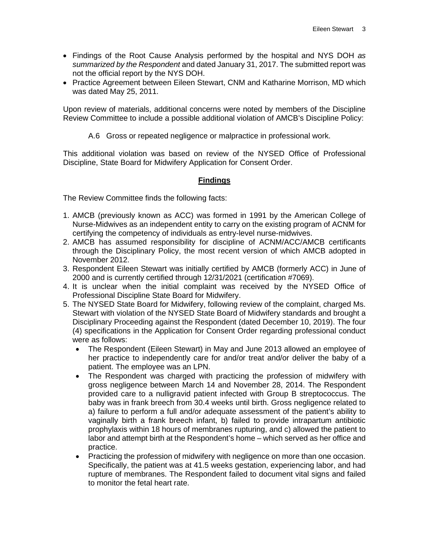- Findings of the Root Cause Analysis performed by the hospital and NYS DOH *as summarized by the Respondent* and dated January 31, 2017. The submitted report was not the official report by the NYS DOH.
- Practice Agreement between Eileen Stewart, CNM and Katharine Morrison, MD which was dated May 25, 2011.

Upon review of materials, additional concerns were noted by members of the Discipline Review Committee to include a possible additional violation of AMCB's Discipline Policy:

A.6 Gross or repeated negligence or malpractice in professional work.

This additional violation was based on review of the NYSED Office of Professional Discipline, State Board for Midwifery Application for Consent Order.

## **Findings**

The Review Committee finds the following facts:

- 1. AMCB (previously known as ACC) was formed in 1991 by the American College of Nurse-Midwives as an independent entity to carry on the existing program of ACNM for certifying the competency of individuals as entry-level nurse-midwives.
- 2. AMCB has assumed responsibility for discipline of ACNM/ACC/AMCB certificants through the Disciplinary Policy, the most recent version of which AMCB adopted in November 2012.
- 3. Respondent Eileen Stewart was initially certified by AMCB (formerly ACC) in June of 2000 and is currently certified through 12/31/2021 (certification #7069).
- 4. It is unclear when the initial complaint was received by the NYSED Office of Professional Discipline State Board for Midwifery.
- 5. The NYSED State Board for Midwifery, following review of the complaint, charged Ms. Stewart with violation of the NYSED State Board of Midwifery standards and brought a Disciplinary Proceeding against the Respondent (dated December 10, 2019). The four (4) specifications in the Application for Consent Order regarding professional conduct were as follows:
	- The Respondent (Eileen Stewart) in May and June 2013 allowed an employee of her practice to independently care for and/or treat and/or deliver the baby of a patient. The employee was an LPN.
	- The Respondent was charged with practicing the profession of midwifery with gross negligence between March 14 and November 28, 2014. The Respondent provided care to a nulligravid patient infected with Group B streptococcus. The baby was in frank breech from 30.4 weeks until birth. Gross negligence related to a) failure to perform a full and/or adequate assessment of the patient's ability to vaginally birth a frank breech infant, b) failed to provide intrapartum antibiotic prophylaxis within 18 hours of membranes rupturing, and c) allowed the patient to labor and attempt birth at the Respondent's home – which served as her office and practice.
	- Practicing the profession of midwifery with negligence on more than one occasion. Specifically, the patient was at 41.5 weeks gestation, experiencing labor, and had rupture of membranes. The Respondent failed to document vital signs and failed to monitor the fetal heart rate.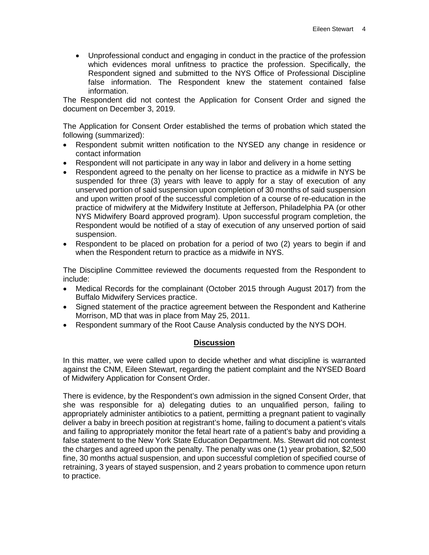• Unprofessional conduct and engaging in conduct in the practice of the profession which evidences moral unfitness to practice the profession. Specifically, the Respondent signed and submitted to the NYS Office of Professional Discipline false information. The Respondent knew the statement contained false information.

The Respondent did not contest the Application for Consent Order and signed the document on December 3, 2019.

The Application for Consent Order established the terms of probation which stated the following (summarized):

- Respondent submit written notification to the NYSED any change in residence or contact information
- Respondent will not participate in any way in labor and delivery in a home setting
- Respondent agreed to the penalty on her license to practice as a midwife in NYS be suspended for three (3) years with leave to apply for a stay of execution of any unserved portion of said suspension upon completion of 30 months of said suspension and upon written proof of the successful completion of a course of re-education in the practice of midwifery at the Midwifery Institute at Jefferson, Philadelphia PA (or other NYS Midwifery Board approved program). Upon successful program completion, the Respondent would be notified of a stay of execution of any unserved portion of said suspension.
- Respondent to be placed on probation for a period of two (2) years to begin if and when the Respondent return to practice as a midwife in NYS.

The Discipline Committee reviewed the documents requested from the Respondent to include:

- Medical Records for the complainant (October 2015 through August 2017) from the Buffalo Midwifery Services practice.
- Signed statement of the practice agreement between the Respondent and Katherine Morrison, MD that was in place from May 25, 2011.
- Respondent summary of the Root Cause Analysis conducted by the NYS DOH.

## **Discussion**

In this matter, we were called upon to decide whether and what discipline is warranted against the CNM, Eileen Stewart, regarding the patient complaint and the NYSED Board of Midwifery Application for Consent Order.

There is evidence, by the Respondent's own admission in the signed Consent Order, that she was responsible for a) delegating duties to an unqualified person, failing to appropriately administer antibiotics to a patient, permitting a pregnant patient to vaginally deliver a baby in breech position at registrant's home, failing to document a patient's vitals and failing to appropriately monitor the fetal heart rate of a patient's baby and providing a false statement to the New York State Education Department. Ms. Stewart did not contest the charges and agreed upon the penalty. The penalty was one (1) year probation, \$2,500 fine, 30 months actual suspension, and upon successful completion of specified course of retraining, 3 years of stayed suspension, and 2 years probation to commence upon return to practice.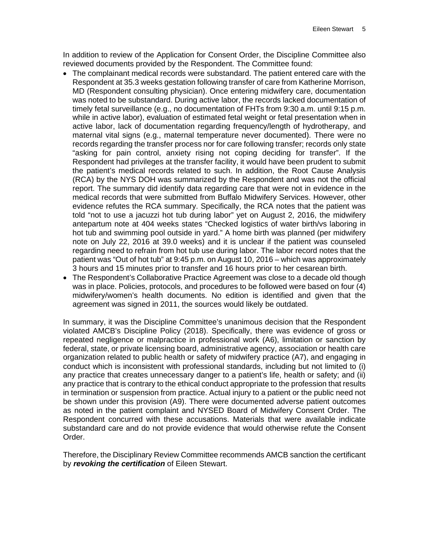In addition to review of the Application for Consent Order, the Discipline Committee also reviewed documents provided by the Respondent. The Committee found:

- The complainant medical records were substandard. The patient entered care with the Respondent at 35.3 weeks gestation following transfer of care from Katherine Morrison, MD (Respondent consulting physician). Once entering midwifery care, documentation was noted to be substandard. During active labor, the records lacked documentation of timely fetal surveillance (e.g., no documentation of FHTs from 9:30 a.m. until 9:15 p.m. while in active labor), evaluation of estimated fetal weight or fetal presentation when in active labor, lack of documentation regarding frequency/length of hydrotherapy, and maternal vital signs (e.g., maternal temperature never documented). There were no records regarding the transfer process nor for care following transfer; records only state "asking for pain control, anxiety rising not coping deciding for transfer". If the Respondent had privileges at the transfer facility, it would have been prudent to submit the patient's medical records related to such. In addition, the Root Cause Analysis (RCA) by the NYS DOH was summarized by the Respondent and was not the official report. The summary did identify data regarding care that were not in evidence in the medical records that were submitted from Buffalo Midwifery Services. However, other evidence refutes the RCA summary. Specifically, the RCA notes that the patient was told "not to use a jacuzzi hot tub during labor" yet on August 2, 2016, the midwifery antepartum note at 404 weeks states "Checked logistics of water birth/vs laboring in hot tub and swimming pool outside in yard." A home birth was planned (per midwifery note on July 22, 2016 at 39.0 weeks) and it is unclear if the patient was counseled regarding need to refrain from hot tub use during labor. The labor record notes that the patient was "Out of hot tub" at 9:45 p.m. on August 10, 2016 – which was approximately 3 hours and 15 minutes prior to transfer and 16 hours prior to her cesarean birth.
- The Respondent's Collaborative Practice Agreement was close to a decade old though was in place. Policies, protocols, and procedures to be followed were based on four (4) midwifery/women's health documents. No edition is identified and given that the agreement was signed in 2011, the sources would likely be outdated.

In summary, it was the Discipline Committee's unanimous decision that the Respondent violated AMCB's Discipline Policy (2018). Specifically, there was evidence of gross or repeated negligence or malpractice in professional work (A6), limitation or sanction by federal, state, or private licensing board, administrative agency, association or health care organization related to public health or safety of midwifery practice (A7), and engaging in conduct which is inconsistent with professional standards, including but not limited to (i) any practice that creates unnecessary danger to a patient's life, health or safety; and (ii) any practice that is contrary to the ethical conduct appropriate to the profession that results in termination or suspension from practice. Actual injury to a patient or the public need not be shown under this provision (A9). There were documented adverse patient outcomes as noted in the patient complaint and NYSED Board of Midwifery Consent Order. The Respondent concurred with these accusations. Materials that were available indicate substandard care and do not provide evidence that would otherwise refute the Consent Order.

Therefore, the Disciplinary Review Committee recommends AMCB sanction the certificant by *revoking the certification* of Eileen Stewart.